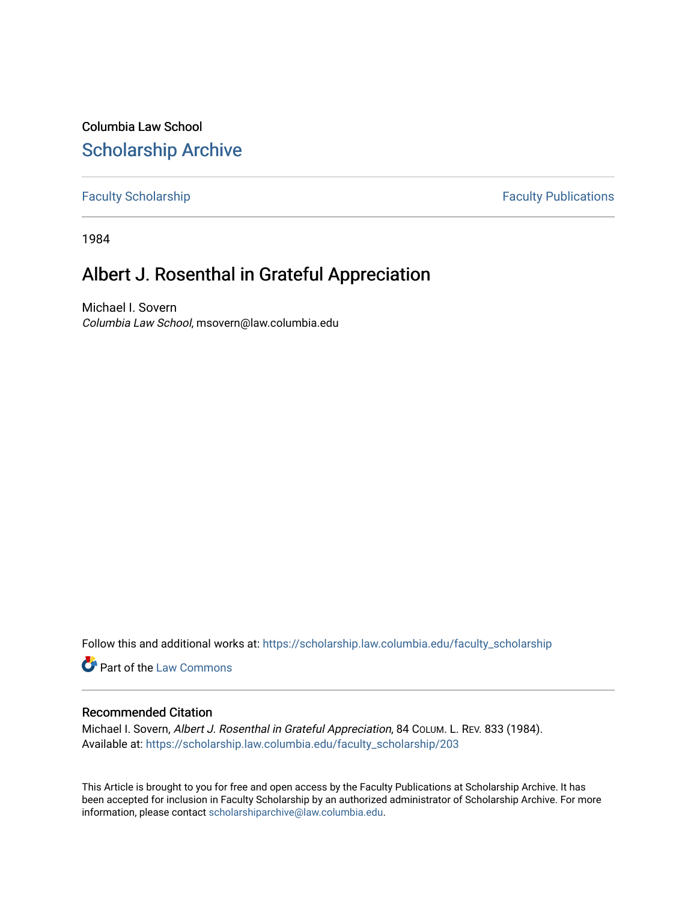Columbia Law School [Scholarship Archive](https://scholarship.law.columbia.edu/) 

[Faculty Scholarship](https://scholarship.law.columbia.edu/faculty_scholarship) **Faculty Publications** 

1984

## Albert J. Rosenthal in Grateful Appreciation

Michael I. Sovern Columbia Law School, msovern@law.columbia.edu

Follow this and additional works at: [https://scholarship.law.columbia.edu/faculty\\_scholarship](https://scholarship.law.columbia.edu/faculty_scholarship?utm_source=scholarship.law.columbia.edu%2Ffaculty_scholarship%2F203&utm_medium=PDF&utm_campaign=PDFCoverPages)

**Part of the [Law Commons](http://network.bepress.com/hgg/discipline/578?utm_source=scholarship.law.columbia.edu%2Ffaculty_scholarship%2F203&utm_medium=PDF&utm_campaign=PDFCoverPages)** 

### Recommended Citation

Michael I. Sovern, Albert J. Rosenthal in Grateful Appreciation, 84 COLUM. L. REV. 833 (1984). Available at: [https://scholarship.law.columbia.edu/faculty\\_scholarship/203](https://scholarship.law.columbia.edu/faculty_scholarship/203?utm_source=scholarship.law.columbia.edu%2Ffaculty_scholarship%2F203&utm_medium=PDF&utm_campaign=PDFCoverPages) 

This Article is brought to you for free and open access by the Faculty Publications at Scholarship Archive. It has been accepted for inclusion in Faculty Scholarship by an authorized administrator of Scholarship Archive. For more information, please contact [scholarshiparchive@law.columbia.edu.](mailto:scholarshiparchive@law.columbia.edu)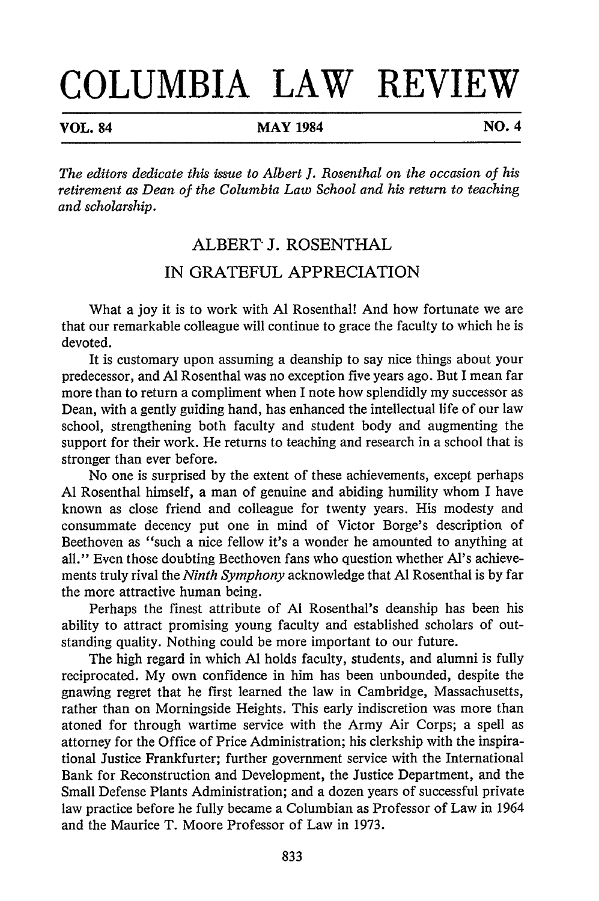# **COLUMBIA LAW REVIEW**

**VOL. 84** MAY 1984 NO. 4

*The editors dedicate this issue to Albert J. Rosenthal on the occasion of his retirement as Dean of the Columbia Law School and his return to teaching and scholarship.*

### ALBERT- J. ROSENTHAL IN GRATEFUL APPRECIATION

What a joy it is to work with **Al** Rosenthal! And how fortunate we are that our remarkable colleague will continue to grace the faculty to which he is devoted.

It is customary upon assuming a deanship to say nice things about your predecessor, and **Al** Rosenthal was no exception five years ago. But I mean far more than to return a compliment when I note how splendidly my successor as Dean, with a gently guiding hand, has enhanced the intellectual life of our law school, strengthening both faculty and student body and augmenting the support for their work. He returns to teaching and research in a school that is stronger than ever before.

No one is surprised by the extent of these achievements, except perhaps **Al** Rosenthal himself, a man of genuine and abiding humility whom I have known as close friend and colleague for twenty years. His modesty and consummate decency put one in mind of Victor Borge's description of Beethoven as "such a nice fellow it's a wonder he amounted to anything at all." Even those doubting Beethoven fans who question whether Al's achievements truly rival the *Ninth Symphony* acknowledge that **Al** Rosenthal is by far the more attractive human being.

Perhaps the finest attribute of **Al** Rosenthal's deanship has been his ability to attract promising young faculty and established scholars of outstanding quality. Nothing could be more important to our future.

The high regard in which **Al** holds faculty, students, and alumni is fully reciprocated. My own confidence in him has been unbounded, despite the gnawing regret that he first learned the law in Cambridge, Massachusetts, rather than on Morningside Heights. This early indiscretion was more than atoned for through wartime service with the Army Air Corps; a spell as attorney for the Office of Price Administration; his clerkship with the inspirational Justice Frankfurter; further government service with the International Bank for Reconstruction and Development, the Justice Department, and the Small Defense Plants Administration; and a dozen years of successful private law practice before he fully became a Columbian as Professor of Law in 1964 and the Maurice T. Moore Professor of Law in 1973.